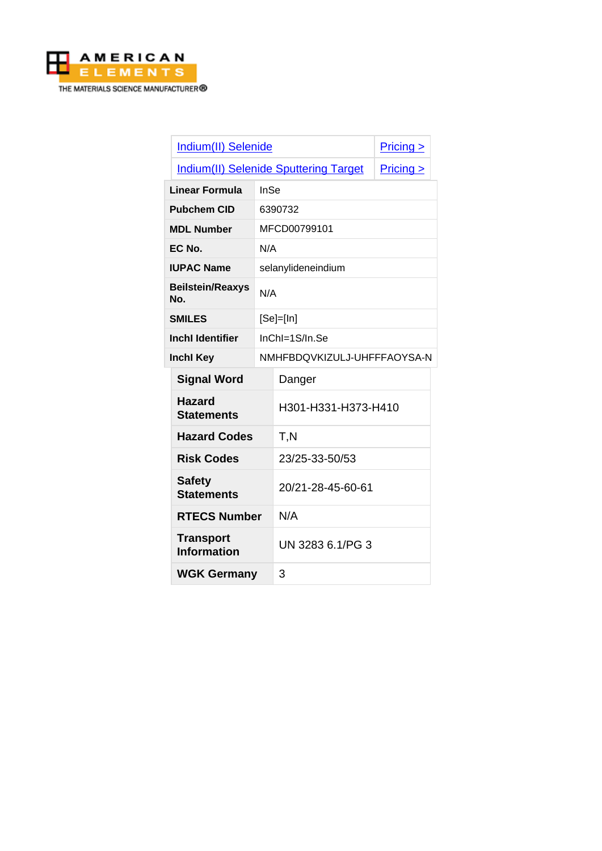

| Indium(II) Selenide                          |             |                             | $Pricing \ge$ |
|----------------------------------------------|-------------|-----------------------------|---------------|
| <b>Indium(II) Selenide Sputtering Target</b> |             | Pricing >                   |               |
| <b>InSe</b><br>Linear Formula                |             |                             |               |
| <b>Pubchem CID</b>                           |             | 6390732                     |               |
| <b>MDL Number</b>                            |             | MFCD00799101                |               |
| EC No.                                       |             | N/A                         |               |
| <b>IUPAC Name</b>                            |             | selanylideneindium          |               |
| <b>Beilstein/Reaxys</b><br>N/A<br>No.        |             |                             |               |
| <b>SMILES</b>                                | $[Se]=[In]$ |                             |               |
| <b>Inchl Identifier</b>                      |             | $InChI=1S/In.Se$            |               |
| <b>Inchl Key</b>                             |             | NMHFBDQVKIZULJ-UHFFFAOYSA-N |               |
| <b>Signal Word</b>                           |             | Danger                      |               |
| <b>Hazard</b><br><b>Statements</b>           |             | H301-H331-H373-H410         |               |
| <b>Hazard Codes</b>                          |             | T,N                         |               |
| <b>Risk Codes</b>                            |             | 23/25-33-50/53              |               |
| <b>Safety</b><br><b>Statements</b>           |             | 20/21-28-45-60-61           |               |
| <b>RTECS Number</b>                          |             | N/A                         |               |
| <b>Transport</b><br><b>Information</b>       |             | UN 3283 6.1/PG 3            |               |
| <b>WGK Germany</b>                           |             | 3                           |               |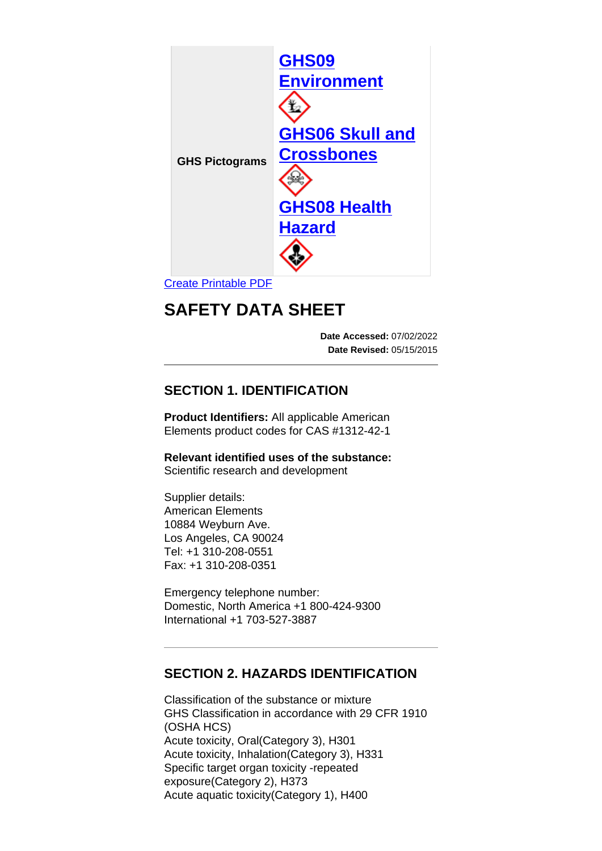

[Create Printable PDF](https://www.americanelements.com/printpdf/cas/1312-42-1/sds)

# **SAFETY DATA SHEET**

**Date Accessed:** 07/02/2022 **Date Revised:** 05/15/2015

# **SECTION 1. IDENTIFICATION**

**Product Identifiers:** All applicable American Elements product codes for CAS #1312-42-1

**Relevant identified uses of the substance:** Scientific research and development

Supplier details: American Elements 10884 Weyburn Ave. Los Angeles, CA 90024 Tel: +1 310-208-0551 Fax: +1 310-208-0351

Emergency telephone number: Domestic, North America +1 800-424-9300 International +1 703-527-3887

### **SECTION 2. HAZARDS IDENTIFICATION**

Classification of the substance or mixture GHS Classification in accordance with 29 CFR 1910 (OSHA HCS) Acute toxicity, Oral(Category 3), H301 Acute toxicity, Inhalation(Category 3), H331 Specific target organ toxicity -repeated exposure(Category 2), H373 Acute aquatic toxicity(Category 1), H400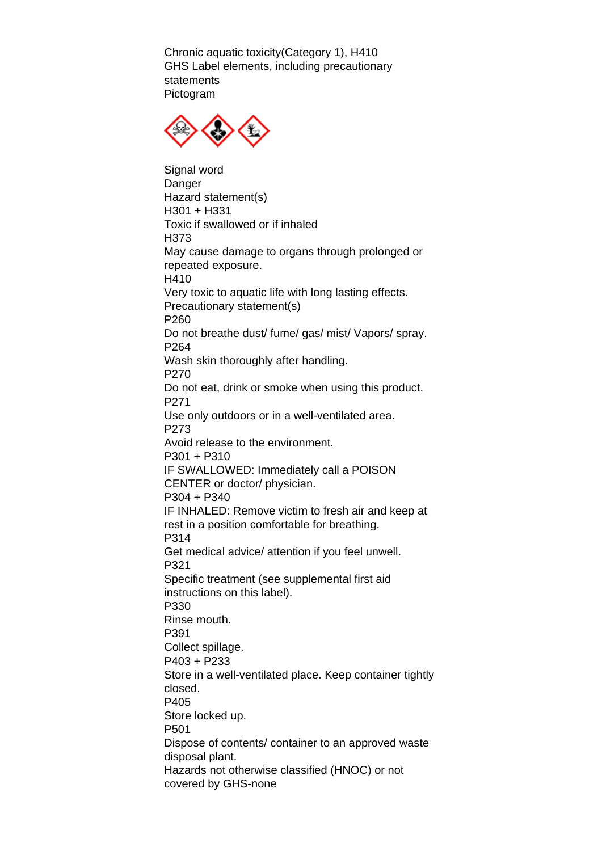Chronic aquatic toxicity(Category 1), H410 GHS Label elements, including precautionary statements Pictogram



Signal word Danger Hazard statement(s) H301 + H331 Toxic if swallowed or if inhaled H373 May cause damage to organs through prolonged or repeated exposure. H410 Very toxic to aquatic life with long lasting effects. Precautionary statement(s) P260 Do not breathe dust/ fume/ gas/ mist/ Vapors/ spray. P264 Wash skin thoroughly after handling. P270 Do not eat, drink or smoke when using this product. P271 Use only outdoors or in a well-ventilated area. P273 Avoid release to the environment. P301 + P310 IF SWALLOWED: Immediately call a POISON CENTER or doctor/ physician. P304 + P340 IF INHALED: Remove victim to fresh air and keep at rest in a position comfortable for breathing. P314 Get medical advice/ attention if you feel unwell. P321 Specific treatment (see supplemental first aid instructions on this label). P330 Rinse mouth. P391 Collect spillage. P403 + P233 Store in a well-ventilated place. Keep container tightly closed. P405 Store locked up. P501 Dispose of contents/ container to an approved waste disposal plant. Hazards not otherwise classified (HNOC) or not covered by GHS-none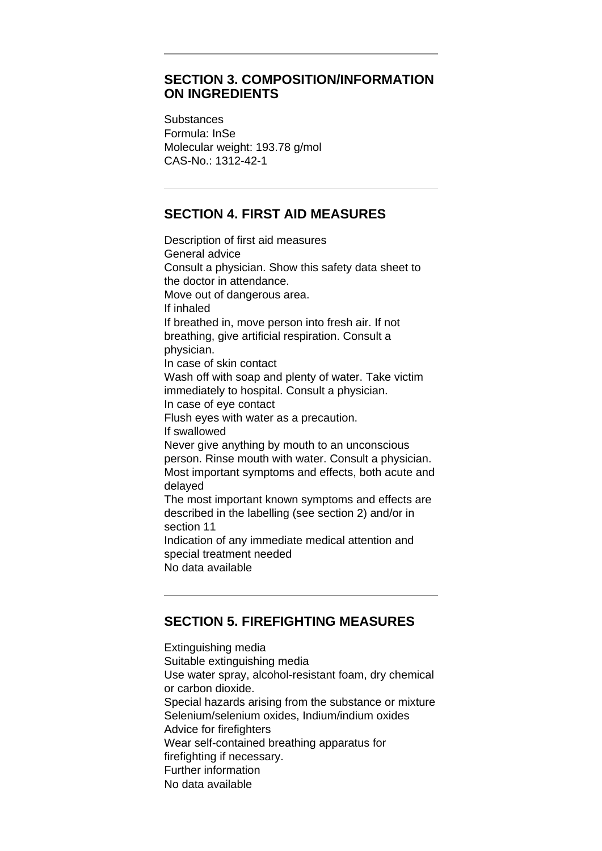### **SECTION 3. COMPOSITION/INFORMATION ON INGREDIENTS**

**Substances** Formula: InSe Molecular weight: 193.78 g/mol CAS-No.: 1312-42-1

# **SECTION 4. FIRST AID MEASURES**

Description of first aid measures General advice Consult a physician. Show this safety data sheet to the doctor in attendance. Move out of dangerous area. If inhaled If breathed in, move person into fresh air. If not breathing, give artificial respiration. Consult a physician. In case of skin contact Wash off with soap and plenty of water. Take victim immediately to hospital. Consult a physician. In case of eye contact Flush eyes with water as a precaution. If swallowed Never give anything by mouth to an unconscious person. Rinse mouth with water. Consult a physician. Most important symptoms and effects, both acute and delayed The most important known symptoms and effects are described in the labelling (see section 2) and/or in section 11 Indication of any immediate medical attention and special treatment needed No data available

### **SECTION 5. FIREFIGHTING MEASURES**

Extinguishing media Suitable extinguishing media Use water spray, alcohol-resistant foam, dry chemical or carbon dioxide. Special hazards arising from the substance or mixture Selenium/selenium oxides, Indium/indium oxides Advice for firefighters Wear self-contained breathing apparatus for firefighting if necessary. Further information No data available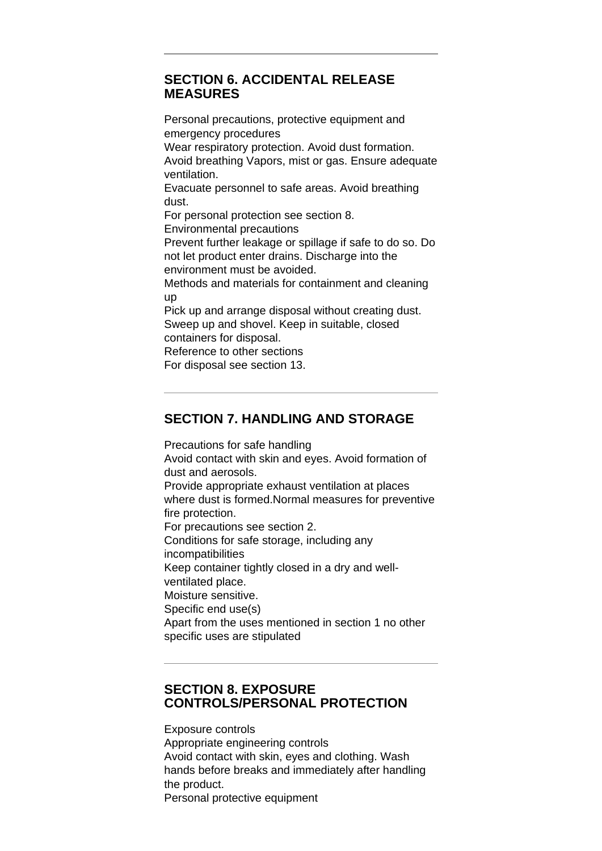### **SECTION 6. ACCIDENTAL RELEASE MEASURES**

Personal precautions, protective equipment and emergency procedures Wear respiratory protection. Avoid dust formation. Avoid breathing Vapors, mist or gas. Ensure adequate ventilation. Evacuate personnel to safe areas. Avoid breathing dust. For personal protection see section 8. Environmental precautions Prevent further leakage or spillage if safe to do so. Do not let product enter drains. Discharge into the environment must be avoided. Methods and materials for containment and cleaning up Pick up and arrange disposal without creating dust. Sweep up and shovel. Keep in suitable, closed containers for disposal. Reference to other sections For disposal see section 13.

# **SECTION 7. HANDLING AND STORAGE**

Precautions for safe handling Avoid contact with skin and eyes. Avoid formation of dust and aerosols. Provide appropriate exhaust ventilation at places where dust is formed.Normal measures for preventive fire protection. For precautions see section 2. Conditions for safe storage, including any incompatibilities Keep container tightly closed in a dry and wellventilated place. Moisture sensitive. Specific end use(s) Apart from the uses mentioned in section 1 no other specific uses are stipulated

### **SECTION 8. EXPOSURE CONTROLS/PERSONAL PROTECTION**

Exposure controls Appropriate engineering controls Avoid contact with skin, eyes and clothing. Wash hands before breaks and immediately after handling the product. Personal protective equipment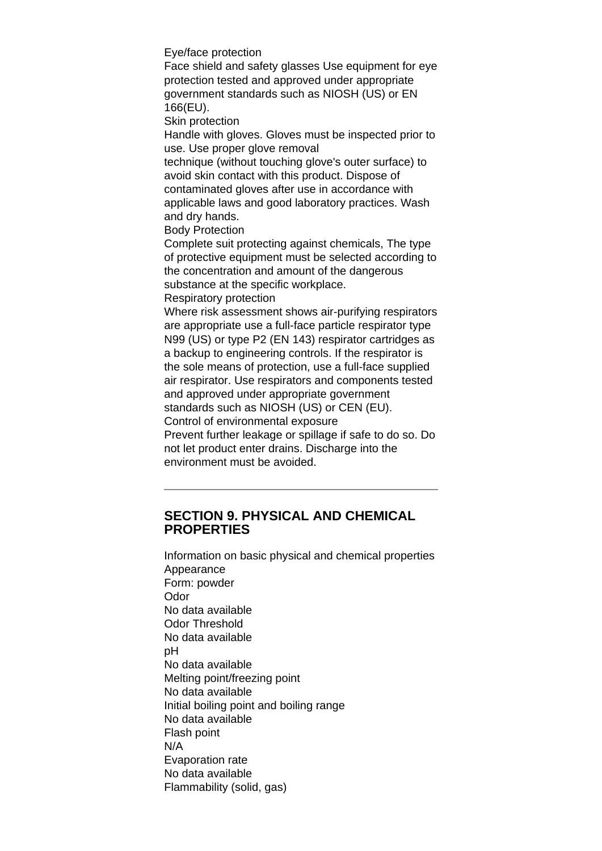Eye/face protection

Face shield and safety glasses Use equipment for eye protection tested and approved under appropriate government standards such as NIOSH (US) or EN 166(EU).

Skin protection

Handle with gloves. Gloves must be inspected prior to use. Use proper glove removal

technique (without touching glove's outer surface) to avoid skin contact with this product. Dispose of contaminated gloves after use in accordance with applicable laws and good laboratory practices. Wash and dry hands.

Body Protection

Complete suit protecting against chemicals, The type of protective equipment must be selected according to the concentration and amount of the dangerous substance at the specific workplace.

#### Respiratory protection

Where risk assessment shows air-purifying respirators are appropriate use a full-face particle respirator type N99 (US) or type P2 (EN 143) respirator cartridges as a backup to engineering controls. If the respirator is the sole means of protection, use a full-face supplied air respirator. Use respirators and components tested and approved under appropriate government standards such as NIOSH (US) or CEN (EU).

Control of environmental exposure

Prevent further leakage or spillage if safe to do so. Do not let product enter drains. Discharge into the environment must be avoided.

### **SECTION 9. PHYSICAL AND CHEMICAL PROPERTIES**

Information on basic physical and chemical properties Appearance Form: powder Odor No data available Odor Threshold No data available  $nH$ No data available Melting point/freezing point No data available Initial boiling point and boiling range No data available Flash point N/A Evaporation rate No data available Flammability (solid, gas)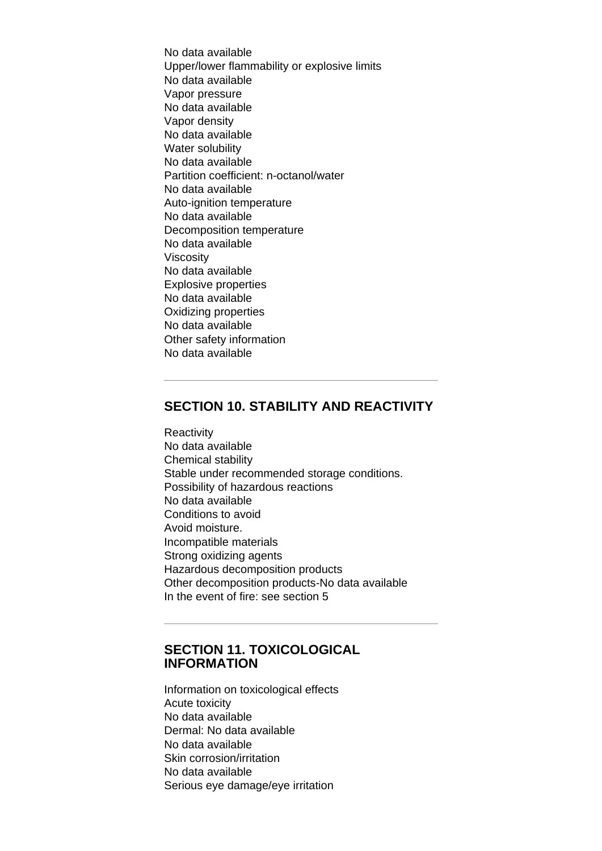No data available Upper/lower flammability or explosive limits No data available Vapor pressure No data available Vapor density No data available Water solubility No data available Partition coefficient: n-octanol/water No data available Auto-ignition temperature No data available Decomposition temperature No data available Viscosity No data available Explosive properties No data available Oxidizing properties No data available Other safety information No data available

### **SECTION 10. STABILITY AND REACTIVITY**

**Reactivity** No data available Chemical stability Stable under recommended storage conditions. Possibility of hazardous reactions No data available Conditions to avoid Avoid moisture. Incompatible materials Strong oxidizing agents Hazardous decomposition products Other decomposition products-No data available In the event of fire: see section 5

### **SECTION 11. TOXICOLOGICAL INFORMATION**

Information on toxicological effects Acute toxicity No data available Dermal: No data available No data available Skin corrosion/irritation No data available Serious eye damage/eye irritation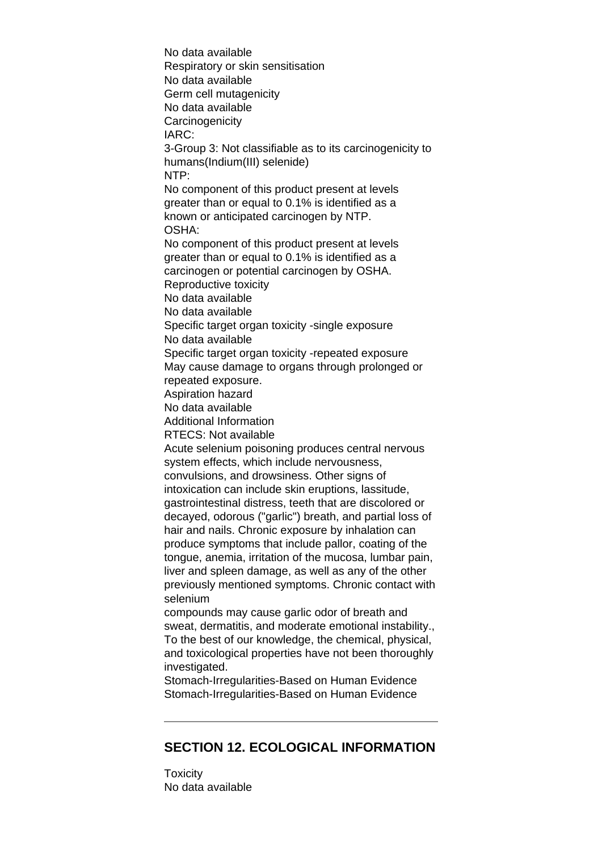No data available Respiratory or skin sensitisation No data available Germ cell mutagenicity No data available **Carcinogenicity** IARC: 3-Group 3: Not classifiable as to its carcinogenicity to humans(Indium(III) selenide) NTP: No component of this product present at levels greater than or equal to 0.1% is identified as a known or anticipated carcinogen by NTP. OSHA: No component of this product present at levels greater than or equal to 0.1% is identified as a carcinogen or potential carcinogen by OSHA. Reproductive toxicity No data available No data available Specific target organ toxicity -single exposure No data available Specific target organ toxicity -repeated exposure May cause damage to organs through prolonged or repeated exposure. Aspiration hazard No data available Additional Information RTECS: Not available Acute selenium poisoning produces central nervous system effects, which include nervousness, convulsions, and drowsiness. Other signs of intoxication can include skin eruptions, lassitude, gastrointestinal distress, teeth that are discolored or decayed, odorous ("garlic") breath, and partial loss of hair and nails. Chronic exposure by inhalation can produce symptoms that include pallor, coating of the tongue, anemia, irritation of the mucosa, lumbar pain, liver and spleen damage, as well as any of the other previously mentioned symptoms. Chronic contact with selenium compounds may cause garlic odor of breath and sweat, dermatitis, and moderate emotional instability., To the best of our knowledge, the chemical, physical, and toxicological properties have not been thoroughly investigated. Stomach-Irregularities-Based on Human Evidence

Stomach-Irregularities-Based on Human Evidence

# **SECTION 12. ECOLOGICAL INFORMATION**

**Toxicity** No data available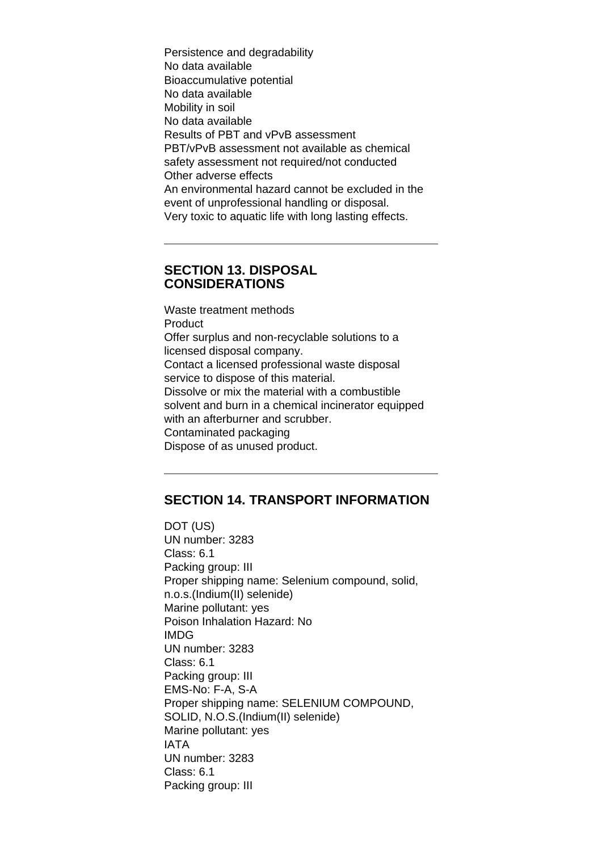Persistence and degradability No data available Bioaccumulative potential No data available Mobility in soil No data available Results of PBT and vPvB assessment PBT/vPvB assessment not available as chemical safety assessment not required/not conducted Other adverse effects An environmental hazard cannot be excluded in the event of unprofessional handling or disposal. Very toxic to aquatic life with long lasting effects.

### **SECTION 13. DISPOSAL CONSIDERATIONS**

Waste treatment methods Product Offer surplus and non-recyclable solutions to a licensed disposal company. Contact a licensed professional waste disposal service to dispose of this material. Dissolve or mix the material with a combustible solvent and burn in a chemical incinerator equipped with an afterburner and scrubber. Contaminated packaging Dispose of as unused product.

## **SECTION 14. TRANSPORT INFORMATION**

DOT (US) UN number: 3283 Class: 6.1 Packing group: III Proper shipping name: Selenium compound, solid, n.o.s.(Indium(II) selenide) Marine pollutant: yes Poison Inhalation Hazard: No IMDG UN number: 3283 Class: 6.1 Packing group: III EMS-No: F-A, S-A Proper shipping name: SELENIUM COMPOUND, SOLID, N.O.S.(Indium(II) selenide) Marine pollutant: yes IATA UN number: 3283 Class: 6.1 Packing group: III